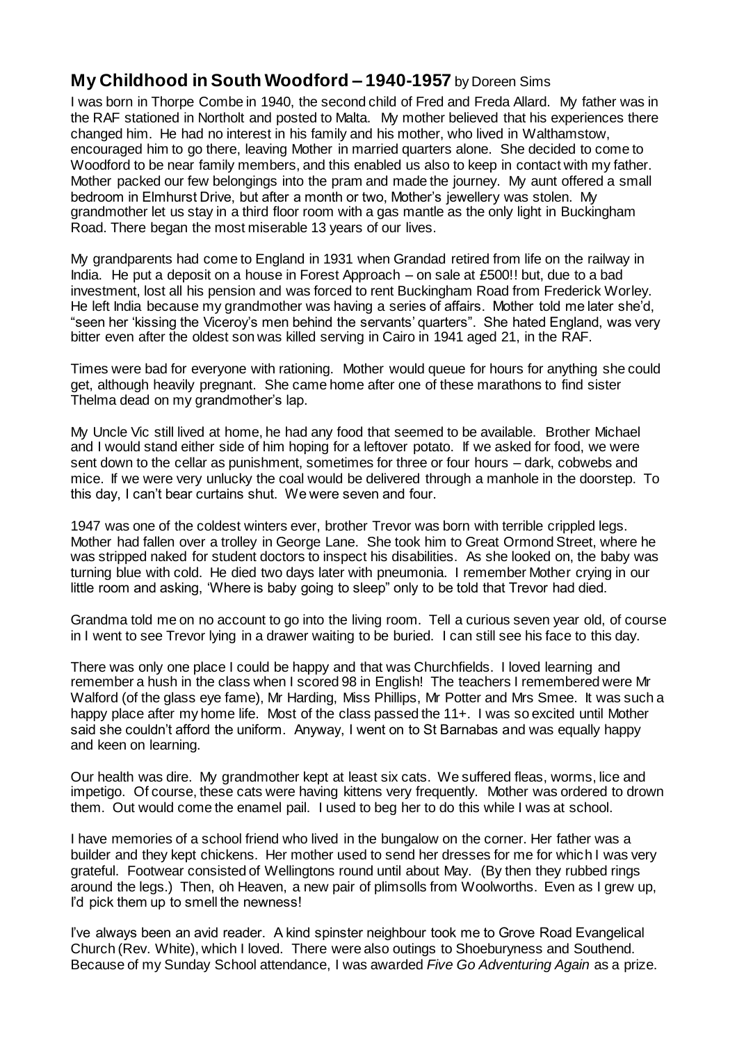## **My Childhood in South Woodford – 1940-1957** by Doreen Sims

I was born in Thorpe Combe in 1940, the second child of Fred and Freda Allard. My father was in the RAF stationed in Northolt and posted to Malta. My mother believed that his experiences there changed him. He had no interest in his family and his mother, who lived in Walthamstow, encouraged him to go there, leaving Mother in married quarters alone. She decided to come to Woodford to be near family members, and this enabled us also to keep in contact with my father. Mother packed our few belongings into the pram and made the journey. My aunt offered a small bedroom in Elmhurst Drive, but after a month or two, Mother's jewellery was stolen. My grandmother let us stay in a third floor room with a gas mantle as the only light in Buckingham Road. There began the most miserable 13 years of our lives.

My grandparents had come to England in 1931 when Grandad retired from life on the railway in India. He put a deposit on a house in Forest Approach – on sale at £500!! but, due to a bad investment, lost all his pension and was forced to rent Buckingham Road from Frederick Worley. He left India because my grandmother was having a series of affairs. Mother told me later she'd, "seen her 'kissing the Viceroy's men behind the servants' quarters". She hated England, was very bitter even after the oldest son was killed serving in Cairo in 1941 aged 21, in the RAF.

Times were bad for everyone with rationing. Mother would queue for hours for anything she could get, although heavily pregnant. She came home after one of these marathons to find sister Thelma dead on my grandmother's lap.

My Uncle Vic still lived at home, he had any food that seemed to be available. Brother Michael and I would stand either side of him hoping for a leftover potato. If we asked for food, we were sent down to the cellar as punishment, sometimes for three or four hours – dark, cobwebs and mice. If we were very unlucky the coal would be delivered through a manhole in the doorstep. To this day, I can't bear curtains shut. We were seven and four.

1947 was one of the coldest winters ever, brother Trevor was born with terrible crippled legs. Mother had fallen over a trolley in George Lane. She took him to Great Ormond Street, where he was stripped naked for student doctors to inspect his disabilities. As she looked on, the baby was turning blue with cold. He died two days later with pneumonia. I remember Mother crying in our little room and asking, 'Where is baby going to sleep" only to be told that Trevor had died.

Grandma told me on no account to go into the living room. Tell a curious seven year old, of course in I went to see Trevor lying in a drawer waiting to be buried. I can still see his face to this day.

There was only one place I could be happy and that was Churchfields. I loved learning and remember a hush in the class when I scored 98 in English! The teachers I remembered were Mr Walford (of the glass eye fame), Mr Harding, Miss Phillips, Mr Potter and Mrs Smee. It was such a happy place after my home life. Most of the class passed the 11+. I was so excited until Mother said she couldn't afford the uniform. Anyway, I went on to St Barnabas and was equally happy and keen on learning.

Our health was dire. My grandmother kept at least six cats. We suffered fleas, worms, lice and impetigo. Of course, these cats were having kittens very frequently. Mother was ordered to drown them. Out would come the enamel pail. I used to beg her to do this while I was at school.

I have memories of a school friend who lived in the bungalow on the corner. Her father was a builder and they kept chickens. Her mother used to send her dresses for me for which I was very grateful. Footwear consisted of Wellingtons round until about May. (By then they rubbed rings around the legs.) Then, oh Heaven, a new pair of plimsolls from Woolworths. Even as I grew up, I'd pick them up to smell the newness!

I've always been an avid reader. A kind spinster neighbour took me to Grove Road Evangelical Church (Rev. White), which I loved. There were also outings to Shoeburyness and Southend. Because of my Sunday School attendance, I was awarded *Five Go Adventuring Again* as a prize.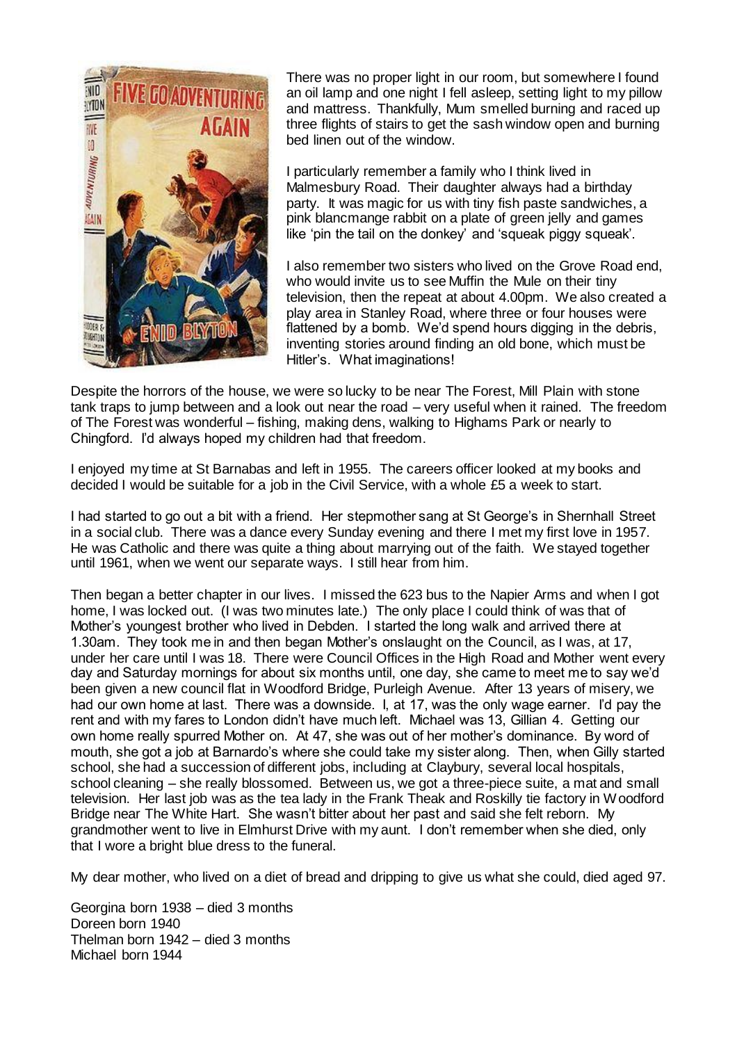

There was no proper light in our room, but somewhere I found an oil lamp and one night I fell asleep, setting light to my pillow and mattress. Thankfully, Mum smelled burning and raced up three flights of stairs to get the sash window open and burning bed linen out of the window.

I particularly remember a family who I think lived in Malmesbury Road. Their daughter always had a birthday party. It was magic for us with tiny fish paste sandwiches, a pink blancmange rabbit on a plate of green jelly and games like 'pin the tail on the donkey' and 'squeak piggy squeak'.

I also remember two sisters who lived on the Grove Road end, who would invite us to see Muffin the Mule on their tiny television, then the repeat at about 4.00pm. We also created a play area in Stanley Road, where three or four houses were flattened by a bomb. We'd spend hours digging in the debris, inventing stories around finding an old bone, which must be Hitler's. What imaginations!

Despite the horrors of the house, we were so lucky to be near The Forest, Mill Plain with stone tank traps to jump between and a look out near the road – very useful when it rained. The freedom of The Forest was wonderful – fishing, making dens, walking to Highams Park or nearly to Chingford. I'd always hoped my children had that freedom.

I enjoyed my time at St Barnabas and left in 1955. The careers officer looked at my books and decided I would be suitable for a job in the Civil Service, with a whole £5 a week to start.

I had started to go out a bit with a friend. Her stepmother sang at St George's in Shernhall Street in a social club. There was a dance every Sunday evening and there I met my first love in 1957. He was Catholic and there was quite a thing about marrying out of the faith. We stayed together until 1961, when we went our separate ways. I still hear from him.

Then began a better chapter in our lives. I missed the 623 bus to the Napier Arms and when I got home, I was locked out. (I was two minutes late.) The only place I could think of was that of Mother's youngest brother who lived in Debden. I started the long walk and arrived there at 1.30am. They took me in and then began Mother's onslaught on the Council, as I was, at 17, under her care until I was 18. There were Council Offices in the High Road and Mother went every day and Saturday mornings for about six months until, one day, she came to meet me to say we'd been given a new council flat in Woodford Bridge, Purleigh Avenue. After 13 years of misery, we had our own home at last. There was a downside. I, at 17, was the only wage earner. I'd pay the rent and with my fares to London didn't have much left. Michael was 13, Gillian 4. Getting our own home really spurred Mother on. At 47, she was out of her mother's dominance. By word of mouth, she got a job at Barnardo's where she could take my sister along. Then, when Gilly started school, she had a succession of different jobs, including at Claybury, several local hospitals, school cleaning – she really blossomed. Between us, we got a three-piece suite, a mat and small television. Her last job was as the tea lady in the Frank Theak and Roskilly tie factory in Woodford Bridge near The White Hart. She wasn't bitter about her past and said she felt reborn. My grandmother went to live in Elmhurst Drive with my aunt. I don't remember when she died, only that I wore a bright blue dress to the funeral.

My dear mother, who lived on a diet of bread and dripping to give us what she could, died aged 97.

Georgina born 1938 – died 3 months Doreen born 1940 Thelman born 1942 – died 3 months Michael born 1944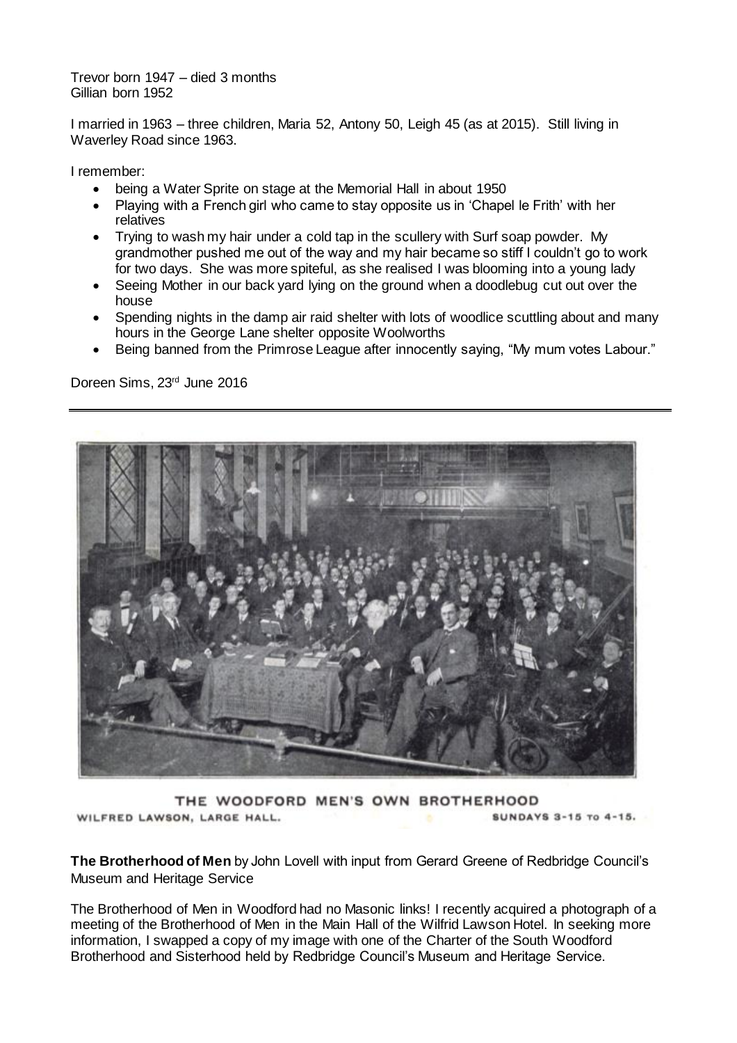Trevor born 1947 – died 3 months Gillian born 1952

I married in 1963 – three children, Maria 52, Antony 50, Leigh 45 (as at 2015). Still living in Waverley Road since 1963.

I remember:

- being a Water Sprite on stage at the Memorial Hall in about 1950
- Playing with a French girl who came to stay opposite us in 'Chapel le Frith' with her relatives
- Trying to wash my hair under a cold tap in the scullery with Surf soap powder. My grandmother pushed me out of the way and my hair became so stiff I couldn't go to work for two days. She was more spiteful, as she realised I was blooming into a young lady
- Seeing Mother in our back yard lying on the ground when a doodlebug cut out over the house
- Spending nights in the damp air raid shelter with lots of woodlice scuttling about and many hours in the George Lane shelter opposite Woolworths
- Being banned from the Primrose League after innocently saying, "My mum votes Labour."

Doreen Sims, 23rd June 2016



THE WOODFORD MEN'S OWN BROTHERHOOD WILFRED LAWSON, LARGE HALL. SUNDAYS 3-15 To 4-15.

**The Brotherhood of Men** by John Lovell with input from Gerard Greene of Redbridge Council's Museum and Heritage Service

The Brotherhood of Men in Woodford had no Masonic links! I recently acquired a photograph of a meeting of the Brotherhood of Men in the Main Hall of the Wilfrid Lawson Hotel. In seeking more information, I swapped a copy of my image with one of the Charter of the South Woodford Brotherhood and Sisterhood held by Redbridge Council's Museum and Heritage Service.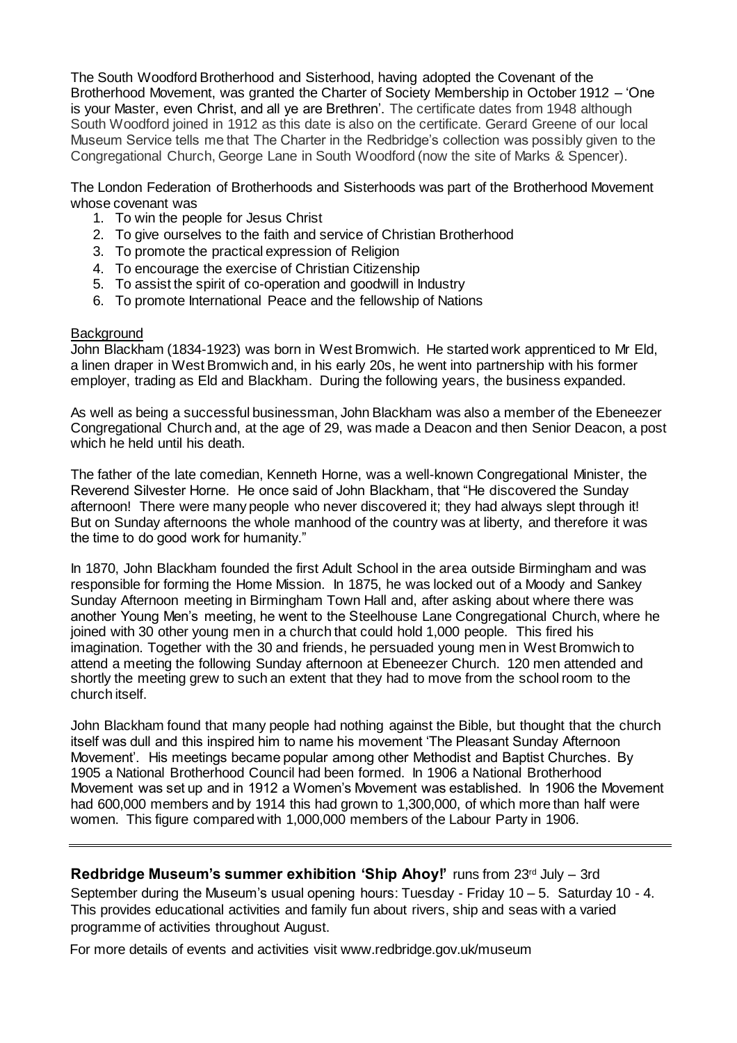The South Woodford Brotherhood and Sisterhood, having adopted the Covenant of the Brotherhood Movement, was granted the Charter of Society Membership in October 1912 – 'One is your Master, even Christ, and all ye are Brethren'. The certificate dates from 1948 although South Woodford joined in 1912 as this date is also on the certificate. Gerard Greene of our local Museum Service tells me that The Charter in the Redbridge's collection was possibly given to the Congregational Church, George Lane in South Woodford (now the site of Marks & Spencer).

The London Federation of Brotherhoods and Sisterhoods was part of the Brotherhood Movement whose covenant was

- 1. To win the people for Jesus Christ
- 2. To give ourselves to the faith and service of Christian Brotherhood
- 3. To promote the practical expression of Religion
- 4. To encourage the exercise of Christian Citizenship
- 5. To assist the spirit of co-operation and goodwill in Industry
- 6. To promote International Peace and the fellowship of Nations

## **Background**

John Blackham (1834-1923) was born in West Bromwich. He started work apprenticed to Mr Eld, a linen draper in West Bromwich and, in his early 20s, he went into partnership with his former employer, trading as Eld and Blackham. During the following years, the business expanded.

As well as being a successful businessman, John Blackham was also a member of the Ebeneezer Congregational Church and, at the age of 29, was made a Deacon and then Senior Deacon, a post which he held until his death.

The father of the late comedian, Kenneth Horne, was a well-known Congregational Minister, the Reverend Silvester Horne. He once said of John Blackham, that "He discovered the Sunday afternoon! There were many people who never discovered it; they had always slept through it! But on Sunday afternoons the whole manhood of the country was at liberty, and therefore it was the time to do good work for humanity."

In 1870, John Blackham founded the first Adult School in the area outside Birmingham and was responsible for forming the Home Mission. In 1875, he was locked out of a Moody and Sankey Sunday Afternoon meeting in Birmingham Town Hall and, after asking about where there was another Young Men's meeting, he went to the Steelhouse Lane Congregational Church, where he joined with 30 other young men in a church that could hold 1,000 people. This fired his imagination. Together with the 30 and friends, he persuaded young men in West Bromwich to attend a meeting the following Sunday afternoon at Ebeneezer Church. 120 men attended and shortly the meeting grew to such an extent that they had to move from the school room to the church itself.

John Blackham found that many people had nothing against the Bible, but thought that the church itself was dull and this inspired him to name his movement 'The Pleasant Sunday Afternoon Movement'. His meetings became popular among other Methodist and Baptist Churches. By 1905 a National Brotherhood Council had been formed. In 1906 a National Brotherhood Movement was set up and in 1912 a Women's Movement was established. In 1906 the Movement had 600,000 members and by 1914 this had grown to 1,300,000, of which more than half were women. This figure compared with 1,000,000 members of the Labour Party in 1906.

**Redbridge Museum's summer exhibition 'Ship Ahoy!'** runs from 23rd July – 3rd September during the Museum's usual opening hours: Tuesday - Friday 10 – 5. Saturday 10 - 4. This provides educational activities and family fun about rivers, ship and seas with a varied programme of activities throughout August.

For more details of events and activities visit www.redbridge.gov.uk/museum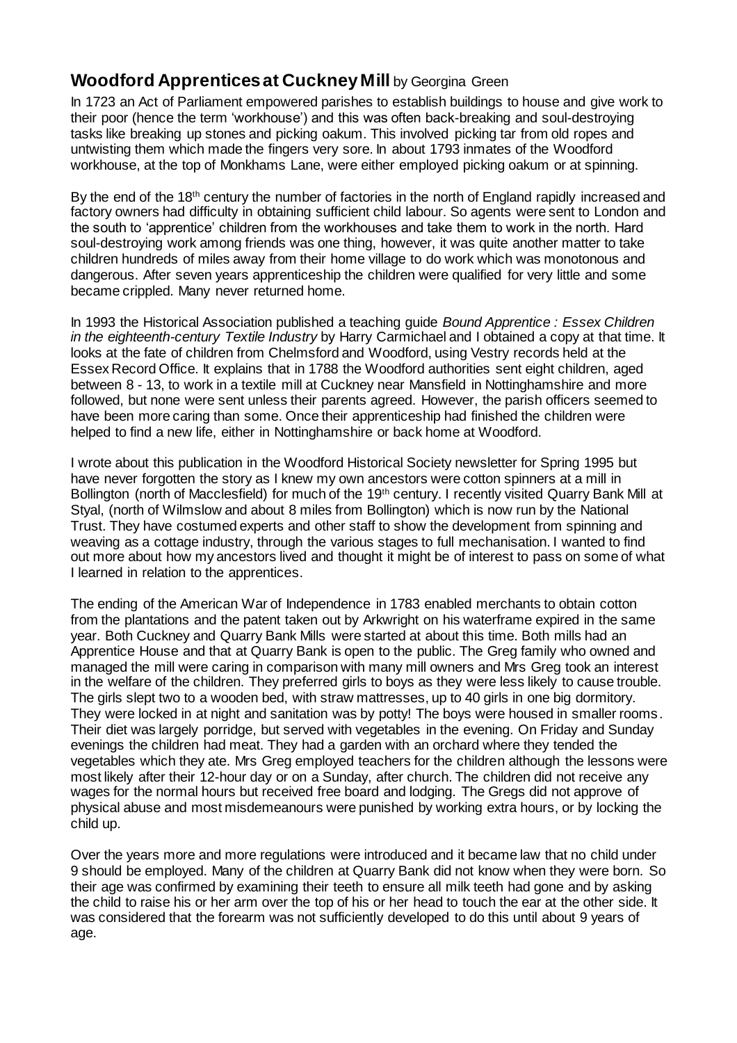## **Woodford Apprentices at Cuckney Mill** by Georgina Green

In 1723 an Act of Parliament empowered parishes to establish buildings to house and give work to their poor (hence the term 'workhouse') and this was often back-breaking and soul-destroying tasks like breaking up stones and picking oakum. This involved picking tar from old ropes and untwisting them which made the fingers very sore. In about 1793 inmates of the Woodford workhouse, at the top of Monkhams Lane, were either employed picking oakum or at spinning.

By the end of the 18<sup>th</sup> century the number of factories in the north of England rapidly increased and factory owners had difficulty in obtaining sufficient child labour. So agents were sent to London and the south to 'apprentice' children from the workhouses and take them to work in the north. Hard soul-destroying work among friends was one thing, however, it was quite another matter to take children hundreds of miles away from their home village to do work which was monotonous and dangerous. After seven years apprenticeship the children were qualified for very little and some became crippled. Many never returned home.

In 1993 the Historical Association published a teaching guide *Bound Apprentice : Essex Children in the eighteenth-century Textile Industry* by Harry Carmichael and I obtained a copy at that time. It looks at the fate of children from Chelmsford and Woodford, using Vestry records held at the Essex Record Office. It explains that in 1788 the Woodford authorities sent eight children, aged between 8 - 13, to work in a textile mill at Cuckney near Mansfield in Nottinghamshire and more followed, but none were sent unless their parents agreed. However, the parish officers seemed to have been more caring than some. Once their apprenticeship had finished the children were helped to find a new life, either in Nottinghamshire or back home at Woodford.

I wrote about this publication in the Woodford Historical Society newsletter for Spring 1995 but have never forgotten the story as I knew my own ancestors were cotton spinners at a mill in Bollington (north of Macclesfield) for much of the 19<sup>th</sup> century. I recently visited Quarry Bank Mill at Styal, (north of Wilmslow and about 8 miles from Bollington) which is now run by the National Trust. They have costumed experts and other staff to show the development from spinning and weaving as a cottage industry, through the various stages to full mechanisation. I wanted to find out more about how my ancestors lived and thought it might be of interest to pass on some of what I learned in relation to the apprentices.

The ending of the American War of Independence in 1783 enabled merchants to obtain cotton from the plantations and the patent taken out by Arkwright on his waterframe expired in the same year. Both Cuckney and Quarry Bank Mills were started at about this time. Both mills had an Apprentice House and that at Quarry Bank is open to the public. The Greg family who owned and managed the mill were caring in comparison with many mill owners and Mrs Greg took an interest in the welfare of the children. They preferred girls to boys as they were less likely to cause trouble. The girls slept two to a wooden bed, with straw mattresses, up to 40 girls in one big dormitory. They were locked in at night and sanitation was by potty! The boys were housed in smaller rooms. Their diet was largely porridge, but served with vegetables in the evening. On Friday and Sunday evenings the children had meat. They had a garden with an orchard where they tended the vegetables which they ate. Mrs Greg employed teachers for the children although the lessons were most likely after their 12-hour day or on a Sunday, after church. The children did not receive any wages for the normal hours but received free board and lodging. The Gregs did not approve of physical abuse and most misdemeanours were punished by working extra hours, or by locking the child up.

Over the years more and more regulations were introduced and it became law that no child under 9 should be employed. Many of the children at Quarry Bank did not know when they were born. So their age was confirmed by examining their teeth to ensure all milk teeth had gone and by asking the child to raise his or her arm over the top of his or her head to touch the ear at the other side. It was considered that the forearm was not sufficiently developed to do this until about 9 years of age.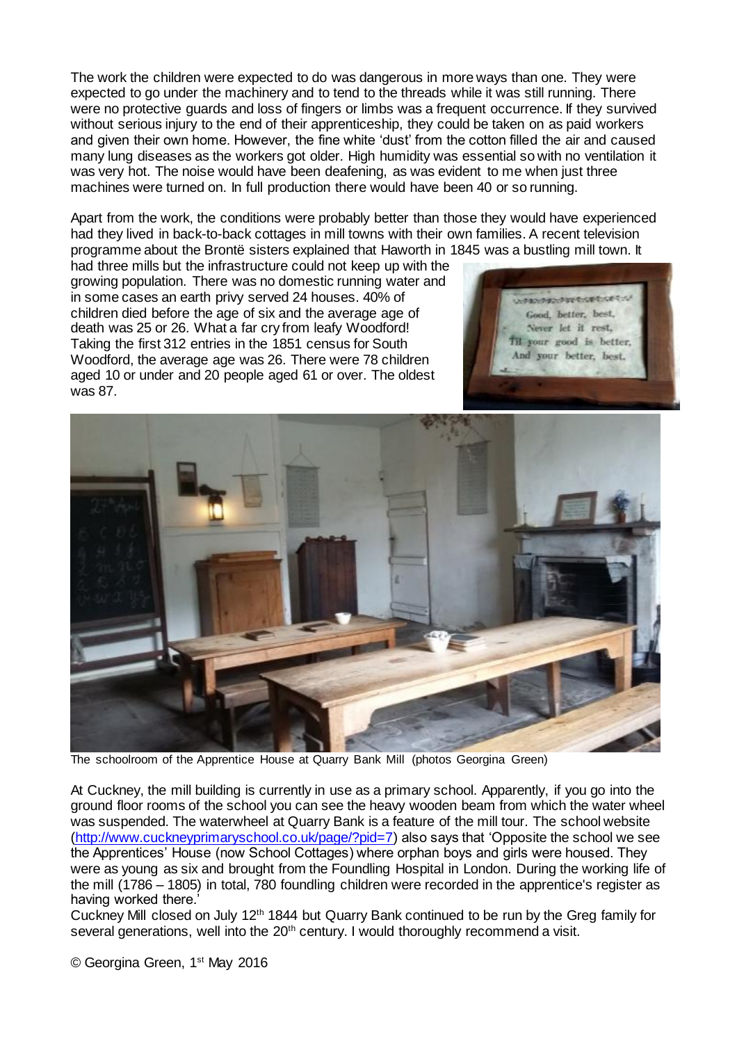The work the children were expected to do was dangerous in more ways than one. They were expected to go under the machinery and to tend to the threads while it was still running. There were no protective guards and loss of fingers or limbs was a frequent occurrence. If they survived without serious injury to the end of their apprenticeship, they could be taken on as paid workers and given their own home. However, the fine white 'dust' from the cotton filled the air and caused many lung diseases as the workers got older. High humidity was essential so with no ventilation it was very hot. The noise would have been deafening, as was evident to me when just three machines were turned on. In full production there would have been 40 or so running.

Apart from the work, the conditions were probably better than those they would have experienced had they lived in back-to-back cottages in mill towns with their own families. A recent television programme about the Brontë sisters explained that Haworth in 1845 was a bustling mill town. It

had three mills but the infrastructure could not keep up with the growing population. There was no domestic running water and in some cases an earth privy served 24 houses. 40% of children died before the age of six and the average age of death was 25 or 26. What a far cry from leafy Woodford! Taking the first 312 entries in the 1851 census for South Woodford, the average age was 26. There were 78 children aged 10 or under and 20 people aged 61 or over. The oldest was 87.





The schoolroom of the Apprentice House at Quarry Bank Mill (photos Georgina Green)

At Cuckney, the mill building is currently in use as a primary school. Apparently, if you go into the ground floor rooms of the school you can see the heavy wooden beam from which the water wheel was suspended. The waterwheel at Quarry Bank is a feature of the mill tour. The school website [\(http://www.cuckneyprimaryschool.co.uk/page/?pid=7\)](http://www.cuckneyprimaryschool.co.uk/page/?pid=7) also says that 'Opposite the school we see the Apprentices' House (now School Cottages) where orphan boys and girls were housed. They were as young as six and brought from the Foundling Hospital in London. During the working life of the mill (1786 – 1805) in total, 780 foundling children were recorded in the apprentice's register as having worked there.'

Cuckney Mill closed on July 12th 1844 but Quarry Bank continued to be run by the Greg family for several generations, well into the 20<sup>th</sup> century. I would thoroughly recommend a visit.

© Georgina Green, 1st May 2016